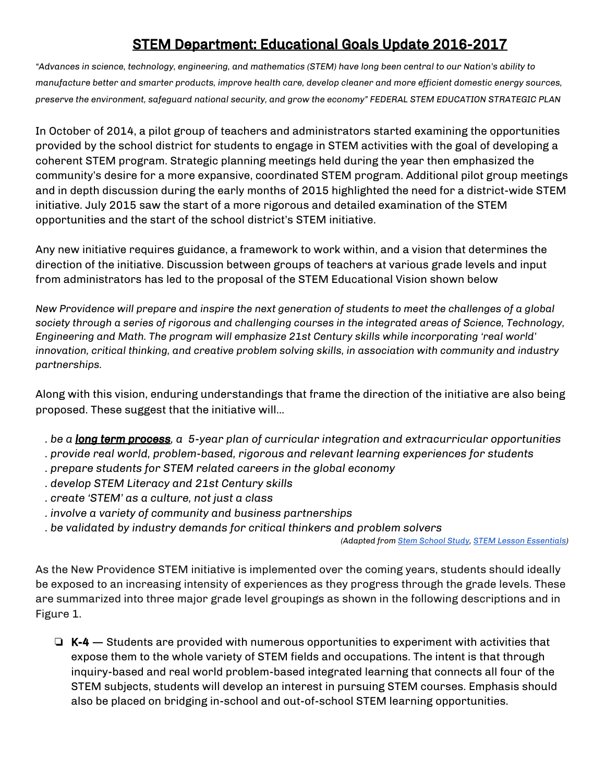# STEM Department: Educational Goals Update 2016-2017

*"Advances in science, technology, engineering, and mathematics (STEM) have long been central to our Nation's ability to manufacture better and smarter products, improve health care, develop cleaner and more efficient domestic energy sources, preserve the environment, safeguard national security, and grow the economy" FEDERAL STEM EDUCATION STRATEGIC PLAN*

In October of 2014, a pilot group of teachers and administrators started examining the opportunities provided by the school district for students to engage in STEM activities with the goal of developing a coherent STEM program. Strategic planning meetings held during the year then emphasized the community's desire for a more expansive, coordinated STEM program. Additional pilot group meetings and in depth discussion during the early months of 2015 highlighted the need for a district-wide STEM initiative. July 2015 saw the start of a more rigorous and detailed examination of the STEM opportunities and the start of the school district's STEM initiative.

Any new initiative requires guidance, a framework to work within, and a vision that determines the direction of the initiative. Discussion between groups of teachers at various grade levels and input from administrators has led to the proposal of the STEM Educational Vision shown below

*New Providence will prepare and inspire the next generation of students to meet the challenges of a global society through a series of rigorous and challenging courses in the integrated areas of Science, Technology, Engineering and Math. The program will emphasize 21st Century skills while incorporating 'real world' innovation, critical thinking, and creative problem solving skills, in association with community and industry partnerships.*

Along with this vision, enduring understandings that frame the direction of the initiative are also being proposed. These suggest that the initiative will...

- … *. be a long term process, a 5-year plan of curricular integration and extracurricular opportunities*
- … *. provide real world, problem-based, rigorous and relevant learning experiences for students*
- … *. prepare students for STEM related careers in the global economy*
- … *. develop STEM Literacy and 21st Century skills*
- … *. create 'STEM' as a culture, not just a class*
- … *. involve a variety of community and business partnerships*
- … *. be validated by industry demands for critical thinkers and problem solvers*

*(Adapted from [Stem School](http://outlier.uchicago.edu/s3/?scroll_to=findings_page&time=undefined&verticalOffset=-322) Study, STEM [Lesson Essentials\)](https://drive.google.com/a/npsdnj.org/file/d/0BzIWhZhmKysMRlNBT1VVc3Vuczg/view?usp=sharing)*

As the New Providence STEM initiative is implemented over the coming years, students should ideally be exposed to an increasing intensity of experiences as they progress through the grade levels. These are summarized into three major grade level groupings as shown in the following descriptions and in Figure 1.

 $\Box$  K-4 — Students are provided with numerous opportunities to experiment with activities that expose them to the whole variety of STEM fields and occupations. The intent is that through inquiry-based and real world problem-based integrated learning that connects all four of the STEM subjects, students will develop an interest in pursuing STEM courses. Emphasis should also be placed on bridging in-school and out-of-school STEM learning opportunities.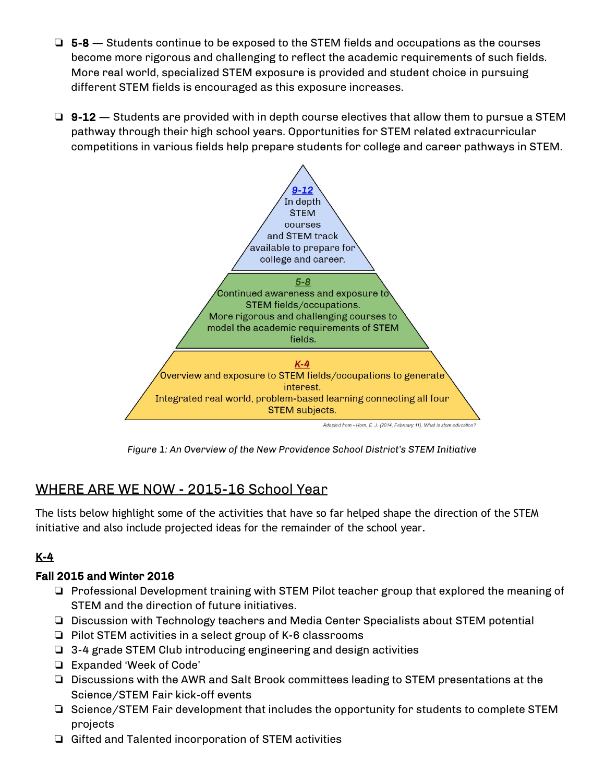- $\Box$  5-8 Students continue to be exposed to the STEM fields and occupations as the courses become more rigorous and challenging to reflect the academic requirements of such fields. More real world, specialized STEM exposure is provided and student choice in pursuing different STEM fields is encouraged as this exposure increases.
- $\Box$  9-12 Students are provided with in depth course electives that allow them to pursue a STEM pathway through their high school years. Opportunities for STEM related extracurricular competitions in various fields help prepare students for college and career pathways in STEM.



*Figure 1: An Overview of the New Providence School District's STEM Initiative*

# WHERE ARE WE NOW - 2015-16 School Year

The lists below highlight some of the activities that have so far helped shape the direction of the STEM initiative and also include projected ideas for the remainder of the school year.

# K-4

### Fall 2015 and Winter 2016

- ❏ Professional Development training with STEM Pilot teacher group that explored the meaning of STEM and the direction of future initiatives.
- ❏ Discussion with Technology teachers and Media Center Specialists about STEM potential
- ❏ Pilot STEM activities in a select group of K-6 classrooms
- ❏ 3-4 grade STEM Club introducing engineering and design activities
- ❏ Expanded 'Week of Code'
- ❏ Discussions with the AWR and Salt Brook committees leading to STEM presentations at the Science/STEM Fair kick-off events
- ❏ Science/STEM Fair development that includes the opportunity for students to complete STEM projects
- ❏ Gifted and Talented incorporation of STEM activities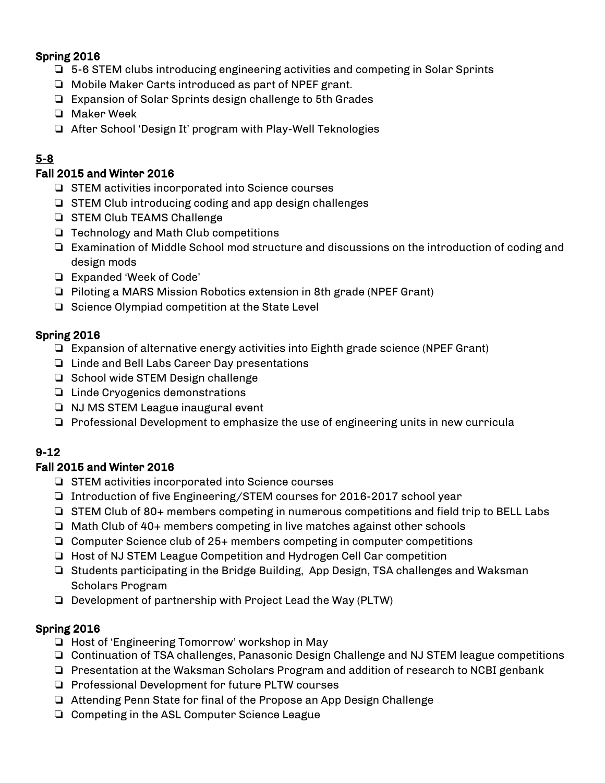#### Spring 2016

- ❏ 5-6 STEM clubs introducing engineering activities and competing in Solar Sprints
- ❏ Mobile Maker Carts introduced as part of NPEF grant.
- ❏ Expansion of Solar Sprints design challenge to 5th Grades
- ❏ Maker Week
- ❏ After School 'Design It' program with Play-Well Teknologies

## 5-8

#### Fall 2015 and Winter 2016

- ❏ STEM activities incorporated into Science courses
- ❏ STEM Club introducing coding and app design challenges
- ❏ STEM Club TEAMS Challenge
- ❏ Technology and Math Club competitions
- ❏ Examination of Middle School mod structure and discussions on the introduction of coding and design mods
- ❏ Expanded 'Week of Code'
- ❏ Piloting a MARS Mission Robotics extension in 8th grade (NPEF Grant)
- ❏ Science Olympiad competition at the State Level

### Spring 2016

- ❏ Expansion of alternative energy activities into Eighth grade science (NPEF Grant)
- ❏ Linde and Bell Labs Career Day presentations
- ❏ School wide STEM Design challenge
- ❏ Linde Cryogenics demonstrations
- ❏ NJ MS STEM League inaugural event
- ❏ Professional Development to emphasize the use of engineering units in new curricula

### 9-12

### Fall 2015 and Winter 2016

- ❏ STEM activities incorporated into Science courses
- ❏ Introduction of five Engineering/STEM courses for 2016-2017 school year
- ❏ STEM Club of 80+ members competing in numerous competitions and field trip to BELL Labs
- ❏ Math Club of 40+ members competing in live matches against other schools
- ❏ Computer Science club of 25+ members competing in computer competitions
- ❏ Host of NJ STEM League Competition and Hydrogen Cell Car competition
- ❏ Students participating in the Bridge Building, App Design, TSA challenges and Waksman Scholars Program
- ❏ Development of partnership with Project Lead the Way (PLTW)

### Spring 2016

- ❏ Host of 'Engineering Tomorrow' workshop in May
- ❏ Continuation of TSA challenges, Panasonic Design Challenge and NJ STEM league competitions
- ❏ Presentation at the Waksman Scholars Program and addition of research to NCBI genbank
- ❏ Professional Development for future PLTW courses
- ❏ Attending Penn State for final of the Propose an App Design Challenge
- ❏ Competing in the ASL Computer Science League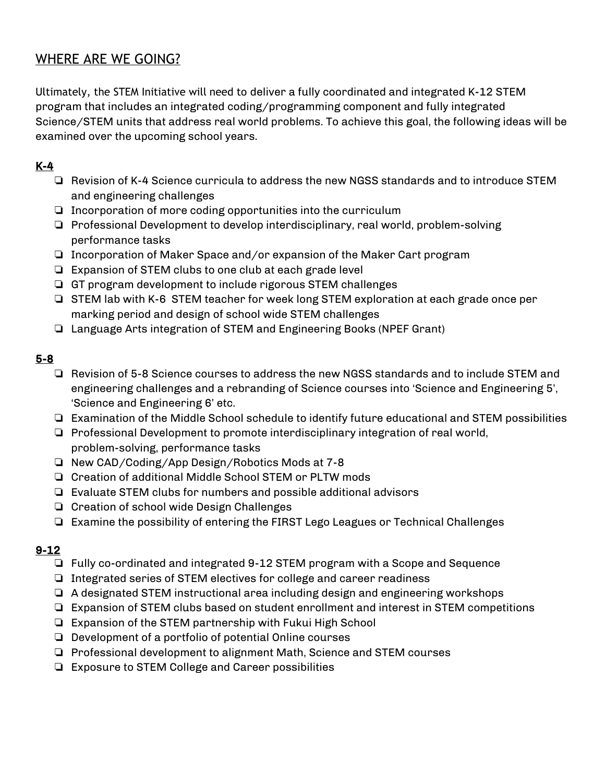# WHERE ARE WE GOING?

Ultimately, the STEM Initiative will need to deliver a fully coordinated and integrated K-12 STEM program that includes an integrated coding/programming component and fully integrated Science/STEM units that address real world problems. To achieve this goal, the following ideas will be examined over the upcoming school years.

## K-4

- ❏ Revision of K-4 Science curricula to address the new NGSS standards and to introduce STEM and engineering challenges
- ❏ Incorporation of more coding opportunities into the curriculum
- ❏ Professional Development to develop interdisciplinary, real world, problem-solving performance tasks
- ❏ Incorporation of Maker Space and/or expansion of the Maker Cart program
- ❏ Expansion of STEM clubs to one club at each grade level
- ❏ GT program development to include rigorous STEM challenges
- ❏ STEM lab with K-6 STEM teacher for week long STEM exploration at each grade once per marking period and design of school wide STEM challenges
- ❏ Language Arts integration of STEM and Engineering Books (NPEF Grant)

### 5-8

- ❏ Revision of 5-8 Science courses to address the new NGSS standards and to include STEM and engineering challenges and a rebranding of Science courses into 'Science and Engineering 5', 'Science and Engineering 6' etc.
- ❏ Examination of the Middle School schedule to identify future educational and STEM possibilities
- ❏ Professional Development to promote interdisciplinary integration of real world, problem-solving, performance tasks
- ❏ New CAD/Coding/App Design/Robotics Mods at 7-8
- ❏ Creation of additional Middle School STEM or PLTW mods
- ❏ Evaluate STEM clubs for numbers and possible additional advisors
- ❏ Creation of school wide Design Challenges
- ❏ Examine the possibility of entering the FIRST Lego Leagues or Technical Challenges

### 9-12

- ❏ Fully co-ordinated and integrated 9-12 STEM program with a Scope and Sequence
- ❏ Integrated series of STEM electives for college and career readiness
- ❏ A designated STEM instructional area including design and engineering workshops
- ❏ Expansion of STEM clubs based on student enrollment and interest in STEM competitions
- ❏ Expansion of the STEM partnership with Fukui High School
- ❏ Development of a portfolio of potential Online courses
- ❏ Professional development to alignment Math, Science and STEM courses
- ❏ Exposure to STEM College and Career possibilities